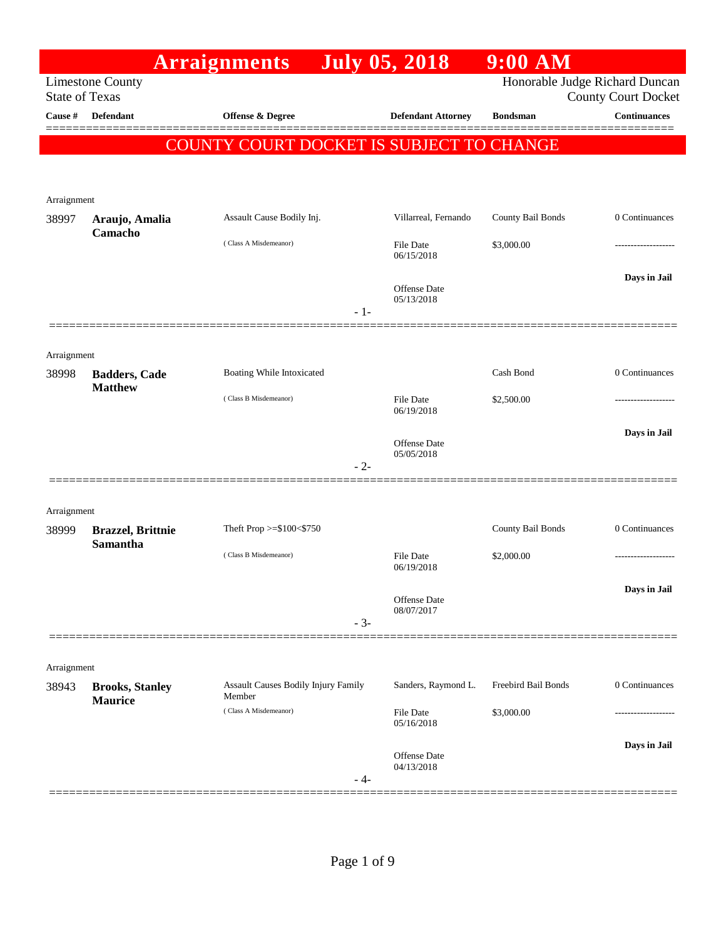|                       |                                          | <b>Arraignments</b>                                  |       | <b>July 05, 2018</b>              | $9:00$ AM           |                                                   |
|-----------------------|------------------------------------------|------------------------------------------------------|-------|-----------------------------------|---------------------|---------------------------------------------------|
| <b>State of Texas</b> | <b>Limestone County</b>                  |                                                      |       |                                   |                     | Honorable Judge Richard Duncan                    |
| Cause #               | <b>Defendant</b>                         | <b>Offense &amp; Degree</b>                          |       | <b>Defendant Attorney</b>         | <b>Bondsman</b>     | <b>County Court Docket</b><br><b>Continuances</b> |
|                       |                                          |                                                      |       |                                   |                     |                                                   |
|                       |                                          | COUNTY COURT DOCKET IS SUBJECT TO CHANGE             |       |                                   |                     |                                                   |
|                       |                                          |                                                      |       |                                   |                     |                                                   |
| Arraignment           |                                          |                                                      |       |                                   |                     |                                                   |
| 38997                 | Araujo, Amalia                           | Assault Cause Bodily Inj.                            |       | Villarreal, Fernando              | County Bail Bonds   | 0 Continuances                                    |
|                       | Camacho                                  | (Class A Misdemeanor)                                |       | <b>File Date</b><br>06/15/2018    | \$3,000.00          |                                                   |
|                       |                                          |                                                      |       | Offense Date<br>05/13/2018        |                     | Days in Jail                                      |
|                       |                                          |                                                      | $-1-$ |                                   |                     |                                                   |
|                       |                                          |                                                      |       |                                   |                     |                                                   |
| Arraignment           |                                          |                                                      |       |                                   |                     |                                                   |
| 38998                 | <b>Badders, Cade</b><br><b>Matthew</b>   | Boating While Intoxicated                            |       |                                   | Cash Bond           | 0 Continuances                                    |
|                       |                                          | (Class B Misdemeanor)                                |       | <b>File Date</b><br>06/19/2018    | \$2,500.00          |                                                   |
|                       |                                          |                                                      |       |                                   |                     | Days in Jail                                      |
|                       |                                          |                                                      |       | <b>Offense Date</b><br>05/05/2018 |                     |                                                   |
|                       |                                          |                                                      | $-2-$ |                                   |                     |                                                   |
|                       |                                          |                                                      |       |                                   |                     |                                                   |
| Arraignment<br>38999  | <b>Brazzel</b> , Brittnie                | Theft Prop >=\$100<\$750                             |       |                                   | County Bail Bonds   | 0 Continuances                                    |
|                       | Samantha                                 |                                                      |       |                                   |                     |                                                   |
|                       |                                          | (Class B Misdemeanor)                                |       | <b>File Date</b><br>06/19/2018    | \$2,000.00          |                                                   |
|                       |                                          |                                                      |       | Offense Date                      |                     | Days in Jail                                      |
|                       |                                          |                                                      |       | 08/07/2017                        |                     |                                                   |
|                       |                                          |                                                      | $-3-$ |                                   |                     |                                                   |
|                       |                                          |                                                      |       |                                   |                     |                                                   |
| Arraignment<br>38943  | <b>Brooks, Stanley</b><br><b>Maurice</b> | <b>Assault Causes Bodily Injury Family</b><br>Member |       | Sanders, Raymond L.               | Freebird Bail Bonds | 0 Continuances                                    |
|                       |                                          | (Class A Misdemeanor)                                |       | <b>File Date</b><br>05/16/2018    | \$3,000.00          |                                                   |
|                       |                                          |                                                      |       |                                   |                     | Days in Jail                                      |
|                       |                                          |                                                      |       | Offense Date<br>04/13/2018        |                     |                                                   |
|                       |                                          |                                                      | - 4-  |                                   |                     |                                                   |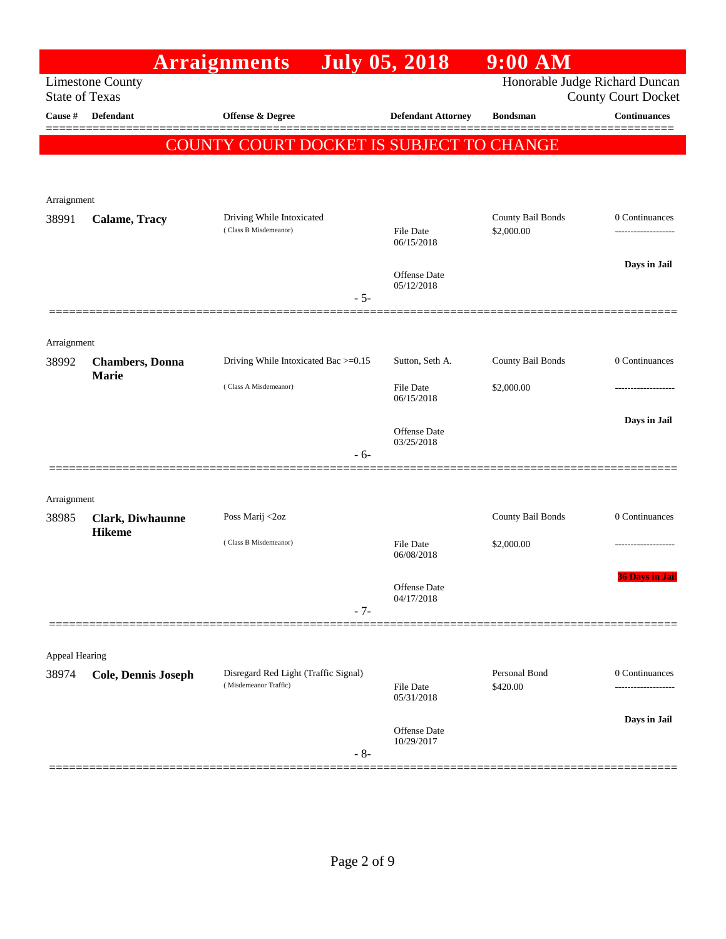|                       |                         | <b>Arraignments</b>                                           |       | <b>July 05, 2018</b>              | $9:00$ AM                      |                            |
|-----------------------|-------------------------|---------------------------------------------------------------|-------|-----------------------------------|--------------------------------|----------------------------|
| <b>State of Texas</b> | <b>Limestone County</b> |                                                               |       |                                   | Honorable Judge Richard Duncan | <b>County Court Docket</b> |
| Cause #               | <b>Defendant</b>        | <b>Offense &amp; Degree</b>                                   |       | <b>Defendant Attorney</b>         | <b>Bondsman</b>                | <b>Continuances</b>        |
|                       |                         | COUNTY COURT DOCKET IS SUBJECT TO CHANGE                      |       |                                   |                                |                            |
|                       |                         |                                                               |       |                                   |                                |                            |
| Arraignment           |                         |                                                               |       |                                   |                                |                            |
| 38991                 | Calame, Tracy           | Driving While Intoxicated                                     |       |                                   | <b>County Bail Bonds</b>       | 0 Continuances             |
|                       |                         | (Class B Misdemeanor)                                         |       | <b>File Date</b><br>06/15/2018    | \$2,000.00                     |                            |
|                       |                         |                                                               |       |                                   |                                | Days in Jail               |
|                       |                         |                                                               | $-5-$ | <b>Offense Date</b><br>05/12/2018 |                                |                            |
|                       |                         |                                                               |       |                                   |                                |                            |
| Arraignment           |                         |                                                               |       |                                   |                                |                            |
| 38992                 | <b>Chambers</b> , Donna | Driving While Intoxicated Bac >=0.15                          |       | Sutton, Seth A.                   | County Bail Bonds              | 0 Continuances             |
|                       | <b>Marie</b>            | (Class A Misdemeanor)                                         |       | <b>File Date</b><br>06/15/2018    | \$2,000.00                     |                            |
|                       |                         |                                                               |       | <b>Offense Date</b>               |                                | Days in Jail               |
|                       |                         |                                                               | $-6-$ | 03/25/2018                        |                                |                            |
|                       |                         |                                                               |       |                                   |                                |                            |
| Arraignment           |                         |                                                               |       |                                   |                                |                            |
| 38985                 | Clark, Diwhaunne        | Poss Marij <2oz                                               |       |                                   | <b>County Bail Bonds</b>       | 0 Continuances             |
|                       | <b>Hikeme</b>           | (Class B Misdemeanor)                                         |       | <b>File Date</b>                  | \$2,000.00                     |                            |
|                       |                         |                                                               |       | 06/08/2018                        |                                | <b>36 Days in Jail</b>     |
|                       |                         |                                                               |       | Offense Date<br>04/17/2018        |                                |                            |
|                       |                         |                                                               | $-7-$ |                                   |                                |                            |
|                       |                         |                                                               |       |                                   |                                |                            |
| Appeal Hearing        |                         |                                                               |       |                                   |                                |                            |
| 38974                 | Cole, Dennis Joseph     | Disregard Red Light (Traffic Signal)<br>(Misdemeanor Traffic) |       | <b>File Date</b><br>05/31/2018    | Personal Bond<br>\$420.00      | 0 Continuances<br>.        |
|                       |                         |                                                               |       |                                   |                                | Days in Jail               |
|                       |                         |                                                               | $-8-$ | <b>Offense Date</b><br>10/29/2017 |                                |                            |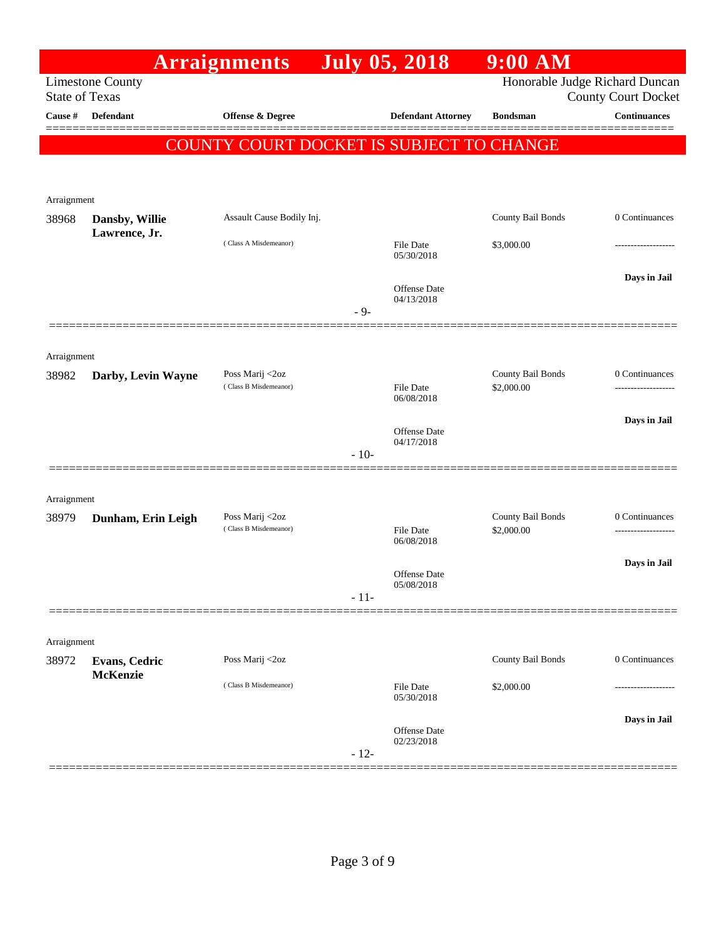|                       |                                 | <b>Arraignments</b>                      | <b>July 05, 2018</b> |                                   | $9:00$ AM                       |                                                              |
|-----------------------|---------------------------------|------------------------------------------|----------------------|-----------------------------------|---------------------------------|--------------------------------------------------------------|
| <b>State of Texas</b> | <b>Limestone County</b>         |                                          |                      |                                   |                                 | Honorable Judge Richard Duncan<br><b>County Court Docket</b> |
| Cause #               | <b>Defendant</b>                | Offense & Degree                         |                      | <b>Defendant Attorney</b>         | <b>Bondsman</b>                 | <b>Continuances</b>                                          |
|                       |                                 | COUNTY COURT DOCKET IS SUBJECT TO CHANGE |                      |                                   |                                 |                                                              |
| Arraignment           |                                 |                                          |                      |                                   |                                 |                                                              |
| 38968                 | Dansby, Willie<br>Lawrence, Jr. | Assault Cause Bodily Inj.                |                      |                                   | County Bail Bonds               | 0 Continuances                                               |
|                       |                                 | (Class A Misdemeanor)                    |                      | <b>File Date</b><br>05/30/2018    | \$3,000.00                      |                                                              |
|                       |                                 |                                          | $-9-$                | Offense Date<br>04/13/2018        |                                 | Days in Jail                                                 |
|                       |                                 |                                          |                      |                                   |                                 |                                                              |
| Arraignment           |                                 |                                          |                      |                                   |                                 |                                                              |
| 38982                 | Darby, Levin Wayne              | Poss Marij <2oz<br>(Class B Misdemeanor) |                      | <b>File Date</b><br>06/08/2018    | County Bail Bonds<br>\$2,000.00 | 0 Continuances<br>.                                          |
|                       |                                 |                                          |                      | Offense Date<br>04/17/2018        |                                 | Days in Jail                                                 |
|                       |                                 |                                          | $-10-$               |                                   |                                 |                                                              |
| Arraignment           |                                 |                                          |                      |                                   |                                 |                                                              |
| 38979                 | Dunham, Erin Leigh              | Poss Marij <2oz<br>(Class B Misdemeanor) |                      | File Date<br>06/08/2018           | County Bail Bonds<br>\$2,000.00 | 0 Continuances<br>------------------                         |
|                       |                                 |                                          |                      | <b>Offense Date</b><br>05/08/2018 |                                 | Days in Jail                                                 |
|                       |                                 |                                          | $-11-$               |                                   |                                 |                                                              |
| Arraignment           |                                 |                                          |                      |                                   |                                 |                                                              |
| 38972                 | <b>Evans, Cedric</b>            | Poss Marij <2oz                          |                      |                                   | County Bail Bonds               | 0 Continuances                                               |
|                       | <b>McKenzie</b>                 | (Class B Misdemeanor)                    |                      | File Date<br>05/30/2018           | \$2,000.00                      |                                                              |
|                       |                                 |                                          | $-12-$               | <b>Offense Date</b><br>02/23/2018 |                                 | Days in Jail                                                 |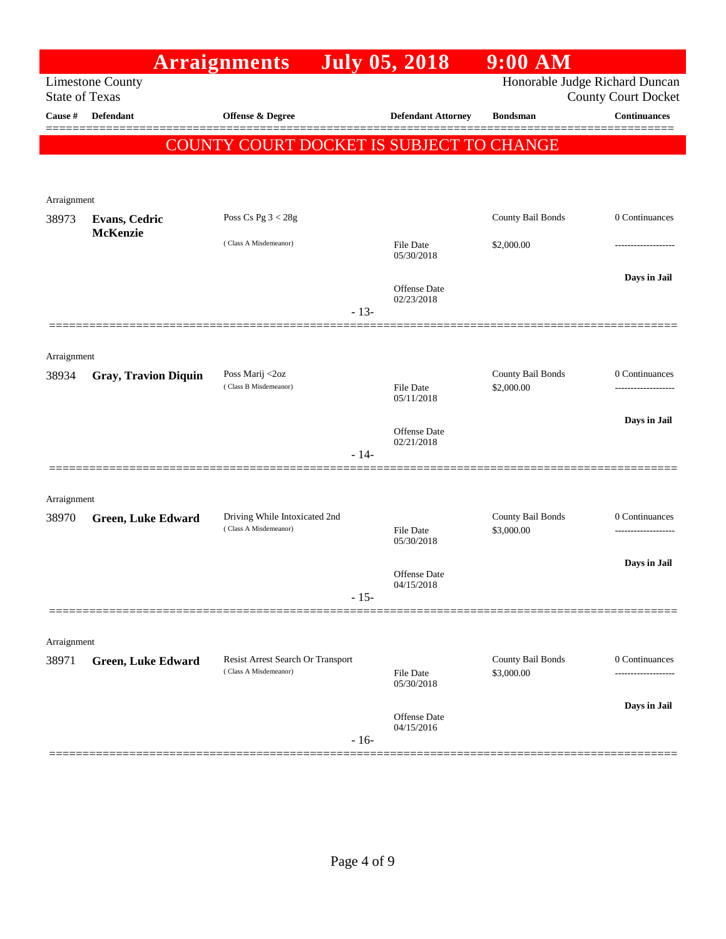|                       |                             | <b>Arraignments</b>                                        |        | <b>July 05, 2018</b>              | 9:00 AM                         |                                                              |
|-----------------------|-----------------------------|------------------------------------------------------------|--------|-----------------------------------|---------------------------------|--------------------------------------------------------------|
| <b>State of Texas</b> | <b>Limestone County</b>     |                                                            |        |                                   |                                 | Honorable Judge Richard Duncan<br><b>County Court Docket</b> |
| Cause #               | <b>Defendant</b>            | Offense & Degree                                           |        | <b>Defendant Attorney</b>         | <b>Bondsman</b>                 | <b>Continuances</b>                                          |
|                       |                             | COUNTY COURT DOCKET IS SUBJECT TO CHANGE                   |        |                                   |                                 |                                                              |
|                       |                             |                                                            |        |                                   |                                 |                                                              |
| Arraignment           |                             |                                                            |        |                                   |                                 |                                                              |
| 38973                 | <b>Evans, Cedric</b>        | Poss Cs Pg $3 < 28g$                                       |        |                                   | County Bail Bonds               | 0 Continuances                                               |
|                       | <b>McKenzie</b>             | (Class A Misdemeanor)                                      |        | File Date<br>05/30/2018           | \$2,000.00                      |                                                              |
|                       |                             |                                                            |        | Offense Date<br>02/23/2018        |                                 | Days in Jail                                                 |
|                       |                             |                                                            | $-13-$ |                                   |                                 |                                                              |
| Arraignment           |                             |                                                            |        |                                   |                                 |                                                              |
| 38934                 | <b>Gray, Travion Diquin</b> | Poss Marij <2oz<br>(Class B Misdemeanor)                   |        | <b>File Date</b><br>05/11/2018    | County Bail Bonds<br>\$2,000.00 | 0 Continuances<br>-----------------                          |
|                       |                             |                                                            |        |                                   |                                 | Days in Jail                                                 |
|                       |                             |                                                            |        | <b>Offense Date</b><br>02/21/2018 |                                 |                                                              |
|                       |                             |                                                            | $-14-$ |                                   |                                 |                                                              |
| Arraignment           |                             |                                                            |        |                                   |                                 |                                                              |
| 38970                 | <b>Green, Luke Edward</b>   | Driving While Intoxicated 2nd                              |        |                                   | County Bail Bonds               | 0 Continuances                                               |
|                       |                             | (Class A Misdemeanor)                                      |        | File Date<br>05/30/2018           | \$3,000.00                      |                                                              |
|                       |                             |                                                            |        | Offense Date                      |                                 | Days in Jail                                                 |
|                       |                             |                                                            | $-15-$ | 04/15/2018                        |                                 |                                                              |
|                       |                             |                                                            |        |                                   |                                 |                                                              |
| Arraignment           |                             |                                                            |        |                                   |                                 |                                                              |
| 38971                 | <b>Green, Luke Edward</b>   | Resist Arrest Search Or Transport<br>(Class A Misdemeanor) |        | <b>File Date</b><br>05/30/2018    | County Bail Bonds<br>\$3,000.00 | 0 Continuances<br>                                           |
|                       |                             |                                                            |        |                                   |                                 | Days in Jail                                                 |
|                       |                             |                                                            | $-16-$ | <b>Offense Date</b><br>04/15/2016 |                                 |                                                              |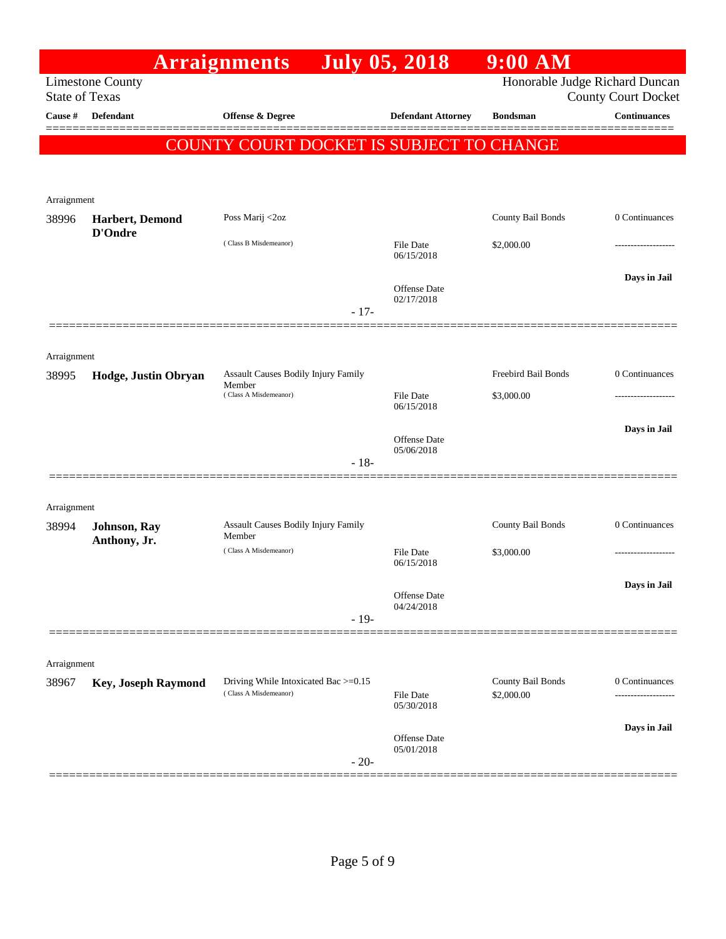|                      |                                                  | <b>Arraignments</b>                                           |        | <b>July 05, 2018</b>              | $9:00$ AM                       |                                      |
|----------------------|--------------------------------------------------|---------------------------------------------------------------|--------|-----------------------------------|---------------------------------|--------------------------------------|
|                      | <b>Limestone County</b><br><b>State of Texas</b> |                                                               |        |                                   | Honorable Judge Richard Duncan  | <b>County Court Docket</b>           |
| Cause #              | <b>Defendant</b>                                 | Offense & Degree                                              |        | <b>Defendant Attorney</b>         | <b>Bondsman</b>                 | <b>Continuances</b>                  |
|                      |                                                  | COUNTY COURT DOCKET IS SUBJECT TO CHANGE                      |        |                                   |                                 |                                      |
|                      |                                                  |                                                               |        |                                   |                                 |                                      |
|                      |                                                  |                                                               |        |                                   |                                 |                                      |
| Arraignment<br>38996 | Harbert, Demond                                  | Poss Marij <2oz                                               |        |                                   | County Bail Bonds               | 0 Continuances                       |
|                      | D'Ondre                                          |                                                               |        |                                   |                                 |                                      |
|                      |                                                  | (Class B Misdemeanor)                                         |        | File Date<br>06/15/2018           | \$2,000.00                      | .                                    |
|                      |                                                  |                                                               |        |                                   |                                 | Days in Jail                         |
|                      |                                                  |                                                               |        | <b>Offense Date</b><br>02/17/2018 |                                 |                                      |
|                      |                                                  |                                                               | $-17-$ |                                   |                                 |                                      |
|                      |                                                  |                                                               |        |                                   |                                 |                                      |
| Arraignment<br>38995 | Hodge, Justin Obryan                             | Assault Causes Bodily Injury Family                           |        |                                   | <b>Freebird Bail Bonds</b>      | 0 Continuances                       |
|                      |                                                  | Member<br>(Class A Misdemeanor)                               |        | File Date                         | \$3,000.00                      | ----------------                     |
|                      |                                                  |                                                               |        | 06/15/2018                        |                                 |                                      |
|                      |                                                  |                                                               |        | <b>Offense Date</b>               |                                 | Days in Jail                         |
|                      |                                                  |                                                               | $-18-$ | 05/06/2018                        |                                 |                                      |
|                      |                                                  |                                                               |        |                                   |                                 |                                      |
| Arraignment          |                                                  |                                                               |        |                                   |                                 |                                      |
| 38994                | Johnson, Ray                                     | <b>Assault Causes Bodily Injury Family</b><br>Member          |        |                                   | County Bail Bonds               | 0 Continuances                       |
|                      | Anthony, Jr.                                     | (Class A Misdemeanor)                                         |        | <b>File Date</b>                  | \$3,000.00                      | .                                    |
|                      |                                                  |                                                               |        | 06/15/2018                        |                                 |                                      |
|                      |                                                  |                                                               |        | Offense Date                      |                                 | Days in Jail                         |
|                      |                                                  |                                                               | $-19-$ | 04/24/2018                        |                                 |                                      |
|                      |                                                  |                                                               |        |                                   |                                 |                                      |
| Arraignment          |                                                  |                                                               |        |                                   |                                 |                                      |
| 38967                | <b>Key, Joseph Raymond</b>                       | Driving While Intoxicated Bac >=0.15<br>(Class A Misdemeanor) |        | File Date                         | County Bail Bonds<br>\$2,000.00 | 0 Continuances<br>------------------ |
|                      |                                                  |                                                               |        | 05/30/2018                        |                                 |                                      |
|                      |                                                  |                                                               |        | Offense Date                      |                                 | Days in Jail                         |
|                      |                                                  |                                                               | $-20-$ | 05/01/2018                        |                                 |                                      |
|                      |                                                  |                                                               |        |                                   |                                 |                                      |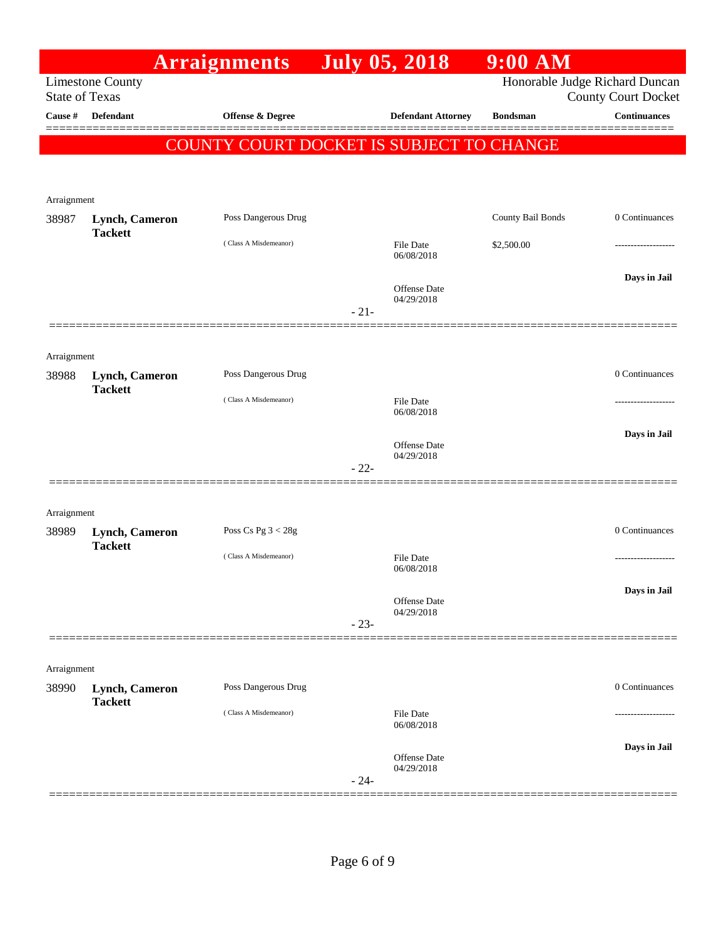|                       |                                  | <b>Arraignments</b>                      | <b>July 05, 2018</b> |                                   | $9:00$ AM         |                                                              |
|-----------------------|----------------------------------|------------------------------------------|----------------------|-----------------------------------|-------------------|--------------------------------------------------------------|
| <b>State of Texas</b> | <b>Limestone County</b>          |                                          |                      |                                   |                   | Honorable Judge Richard Duncan<br><b>County Court Docket</b> |
| Cause #               | Defendant                        | Offense & Degree                         |                      | <b>Defendant Attorney</b>         | <b>Bondsman</b>   | <b>Continuances</b><br>=======                               |
|                       |                                  | COUNTY COURT DOCKET IS SUBJECT TO CHANGE |                      |                                   |                   |                                                              |
|                       |                                  |                                          |                      |                                   |                   |                                                              |
| Arraignment           |                                  |                                          |                      |                                   |                   |                                                              |
| 38987                 | Lynch, Cameron                   | Poss Dangerous Drug                      |                      |                                   | County Bail Bonds | 0 Continuances                                               |
|                       | <b>Tackett</b>                   | (Class A Misdemeanor)                    |                      | <b>File Date</b>                  | \$2,500.00        |                                                              |
|                       |                                  |                                          |                      | 06/08/2018                        |                   |                                                              |
|                       |                                  |                                          |                      | <b>Offense Date</b>               |                   | Days in Jail                                                 |
|                       |                                  |                                          | $-21-$               | 04/29/2018                        |                   |                                                              |
|                       |                                  |                                          |                      |                                   |                   |                                                              |
| Arraignment           |                                  |                                          |                      |                                   |                   |                                                              |
| 38988                 | Lynch, Cameron                   | Poss Dangerous Drug                      |                      |                                   |                   | 0 Continuances                                               |
|                       | <b>Tackett</b>                   | (Class A Misdemeanor)                    |                      | <b>File Date</b>                  |                   |                                                              |
|                       |                                  |                                          |                      | 06/08/2018                        |                   | Days in Jail                                                 |
|                       |                                  |                                          |                      | <b>Offense Date</b><br>04/29/2018 |                   |                                                              |
|                       |                                  |                                          | $-22-$               |                                   |                   |                                                              |
|                       |                                  |                                          |                      |                                   |                   |                                                              |
| Arraignment           |                                  |                                          |                      |                                   |                   |                                                              |
| 38989                 | Lynch, Cameron<br><b>Tackett</b> | Poss Cs Pg $3 < 28g$                     |                      |                                   |                   | 0 Continuances                                               |
|                       |                                  | (Class A Misdemeanor)                    |                      | File Date<br>06/08/2018           |                   |                                                              |
|                       |                                  |                                          |                      |                                   |                   | Days in Jail                                                 |
|                       |                                  |                                          |                      | Offense Date<br>04/29/2018        |                   |                                                              |
|                       |                                  |                                          | $-23-$               |                                   |                   |                                                              |
|                       |                                  |                                          |                      |                                   |                   |                                                              |
| Arraignment<br>38990  | <b>Lynch, Cameron</b>            | Poss Dangerous Drug                      |                      |                                   |                   | 0 Continuances                                               |
|                       | <b>Tackett</b>                   | (Class A Misdemeanor)                    |                      | <b>File Date</b>                  |                   |                                                              |
|                       |                                  |                                          |                      | 06/08/2018                        |                   |                                                              |
|                       |                                  |                                          |                      | <b>Offense Date</b>               |                   | Days in Jail                                                 |
|                       |                                  |                                          | $-24-$               | 04/29/2018                        |                   |                                                              |
|                       |                                  |                                          |                      |                                   |                   |                                                              |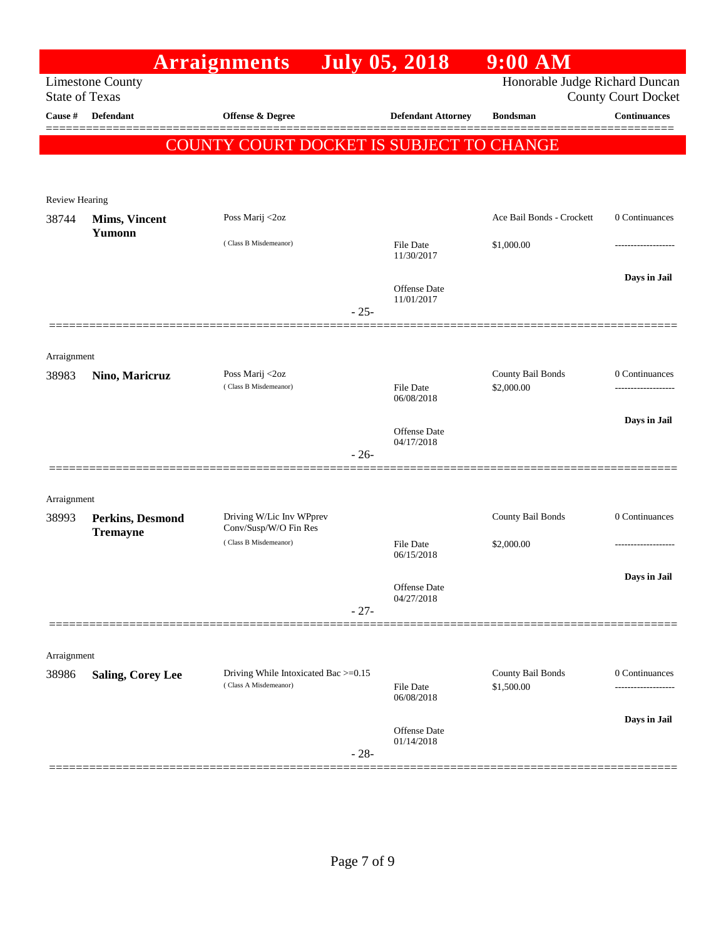|                       |                                | <b>Arraignments</b>                                           |        | <b>July 05, 2018</b>              | $9:00$ AM                                                    |                     |
|-----------------------|--------------------------------|---------------------------------------------------------------|--------|-----------------------------------|--------------------------------------------------------------|---------------------|
| <b>State of Texas</b> | <b>Limestone County</b>        |                                                               |        |                                   | Honorable Judge Richard Duncan<br><b>County Court Docket</b> |                     |
| Cause #               | <b>Defendant</b>               | Offense & Degree                                              |        | <b>Defendant Attorney</b>         | <b>Bondsman</b>                                              | <b>Continuances</b> |
|                       |                                | <b>COUNTY COURT DOCKET IS SUBJECT TO CHANGE</b>               |        |                                   |                                                              |                     |
|                       |                                |                                                               |        |                                   |                                                              |                     |
|                       |                                |                                                               |        |                                   |                                                              |                     |
| Review Hearing        |                                | Poss Marij <2oz                                               |        |                                   | Ace Bail Bonds - Crockett                                    | 0 Continuances      |
| 38744                 | <b>Mims, Vincent</b><br>Yumonn |                                                               |        |                                   |                                                              |                     |
|                       |                                | (Class B Misdemeanor)                                         |        | File Date<br>11/30/2017           | \$1,000.00                                                   |                     |
|                       |                                |                                                               |        |                                   |                                                              | Days in Jail        |
|                       |                                |                                                               |        | <b>Offense Date</b><br>11/01/2017 |                                                              |                     |
|                       |                                |                                                               | $-25-$ |                                   |                                                              |                     |
|                       |                                |                                                               |        |                                   |                                                              |                     |
| Arraignment           |                                | Poss Marij <2oz                                               |        |                                   | County Bail Bonds                                            | 0 Continuances      |
| 38983                 | Nino, Maricruz                 | (Class B Misdemeanor)                                         |        | File Date                         | \$2,000.00                                                   | -----------------   |
|                       |                                |                                                               |        | 06/08/2018                        |                                                              |                     |
|                       |                                |                                                               |        | <b>Offense Date</b><br>04/17/2018 |                                                              | Days in Jail        |
|                       |                                |                                                               | $-26-$ |                                   |                                                              |                     |
|                       |                                |                                                               |        |                                   |                                                              |                     |
| Arraignment           |                                |                                                               |        |                                   |                                                              |                     |
| 38993                 | Perkins, Desmond               | Driving W/Lic Inv WPprev<br>Conv/Susp/W/O Fin Res             |        |                                   | County Bail Bonds                                            | 0 Continuances      |
|                       | <b>Tremayne</b>                | (Class B Misdemeanor)                                         |        | <b>File Date</b>                  | \$2,000.00                                                   |                     |
|                       |                                |                                                               |        | 06/15/2018                        |                                                              |                     |
|                       |                                |                                                               |        | Offense Date                      |                                                              | Days in Jail        |
|                       |                                |                                                               | $-27-$ | 04/27/2018                        |                                                              |                     |
|                       |                                |                                                               |        |                                   |                                                              |                     |
| Arraignment           |                                |                                                               |        |                                   |                                                              |                     |
| 38986                 | Saling, Corey Lee              | Driving While Intoxicated Bac >=0.15<br>(Class A Misdemeanor) |        | File Date                         | County Bail Bonds<br>\$1,500.00                              | 0 Continuances      |
|                       |                                |                                                               |        | 06/08/2018                        |                                                              |                     |
|                       |                                |                                                               |        | Offense Date                      |                                                              | Days in Jail        |
|                       |                                |                                                               | $-28-$ | 01/14/2018                        |                                                              |                     |
|                       |                                |                                                               |        |                                   |                                                              |                     |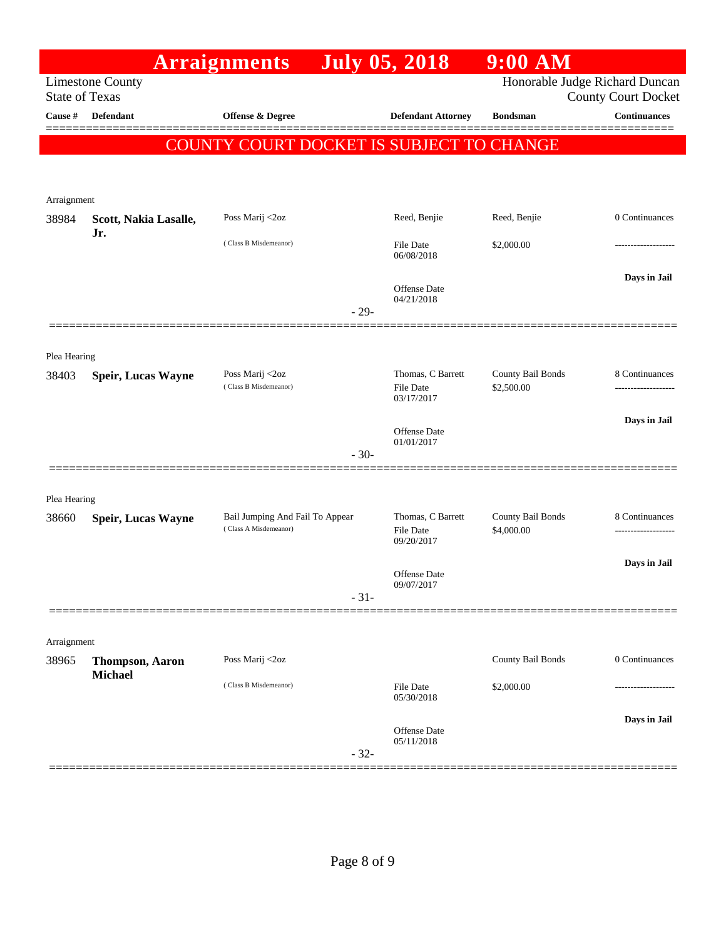|                       |                              | <b>Arraignments</b>                                      |        | <b>July 05, 2018</b>                                | 9:00 AM                         |                                                              |
|-----------------------|------------------------------|----------------------------------------------------------|--------|-----------------------------------------------------|---------------------------------|--------------------------------------------------------------|
| <b>State of Texas</b> | <b>Limestone County</b>      |                                                          |        |                                                     |                                 | Honorable Judge Richard Duncan<br><b>County Court Docket</b> |
| Cause #               | <b>Defendant</b>             | Offense & Degree                                         |        | <b>Defendant Attorney</b>                           | <b>Bondsman</b>                 | <b>Continuances</b>                                          |
|                       |                              |                                                          |        | COUNTY COURT DOCKET IS SUBJECT TO CHANGE            |                                 |                                                              |
| Arraignment           |                              |                                                          |        |                                                     |                                 |                                                              |
| 38984                 | Scott, Nakia Lasalle,<br>Jr. | Poss Marij <2oz                                          |        | Reed, Benjie                                        | Reed, Benjie                    | 0 Continuances                                               |
|                       |                              | (Class B Misdemeanor)                                    |        | <b>File Date</b><br>06/08/2018                      | \$2,000.00                      |                                                              |
|                       |                              |                                                          | $-29-$ | <b>Offense</b> Date<br>04/21/2018                   |                                 | Days in Jail                                                 |
|                       |                              |                                                          |        |                                                     |                                 |                                                              |
| Plea Hearing          |                              |                                                          |        |                                                     |                                 |                                                              |
| 38403                 | <b>Speir, Lucas Wayne</b>    | Poss Marij <2oz<br>(Class B Misdemeanor)                 |        | Thomas, C Barrett<br><b>File Date</b><br>03/17/2017 | County Bail Bonds<br>\$2,500.00 | 8 Continuances<br>.                                          |
|                       |                              |                                                          | $-30-$ | <b>Offense</b> Date<br>01/01/2017                   |                                 | Days in Jail                                                 |
| Plea Hearing          |                              |                                                          |        |                                                     |                                 |                                                              |
| 38660                 | <b>Speir, Lucas Wayne</b>    | Bail Jumping And Fail To Appear<br>(Class A Misdemeanor) |        | Thomas, C Barrett<br><b>File Date</b><br>09/20/2017 | County Bail Bonds<br>\$4,000.00 | 8 Continuances<br>                                           |
|                       |                              |                                                          |        | <b>Offense</b> Date<br>09/07/2017                   |                                 | Days in Jail                                                 |
|                       |                              |                                                          | $-31-$ |                                                     |                                 |                                                              |
| Arraignment           |                              |                                                          |        |                                                     |                                 |                                                              |
| 38965                 | <b>Thompson, Aaron</b>       | Poss Marij <2oz                                          |        |                                                     | County Bail Bonds               | 0 Continuances                                               |
|                       | <b>Michael</b>               | (Class B Misdemeanor)                                    |        | File Date<br>05/30/2018                             | \$2,000.00                      |                                                              |
|                       |                              |                                                          | $-32-$ | <b>Offense</b> Date<br>05/11/2018                   |                                 | Days in Jail                                                 |